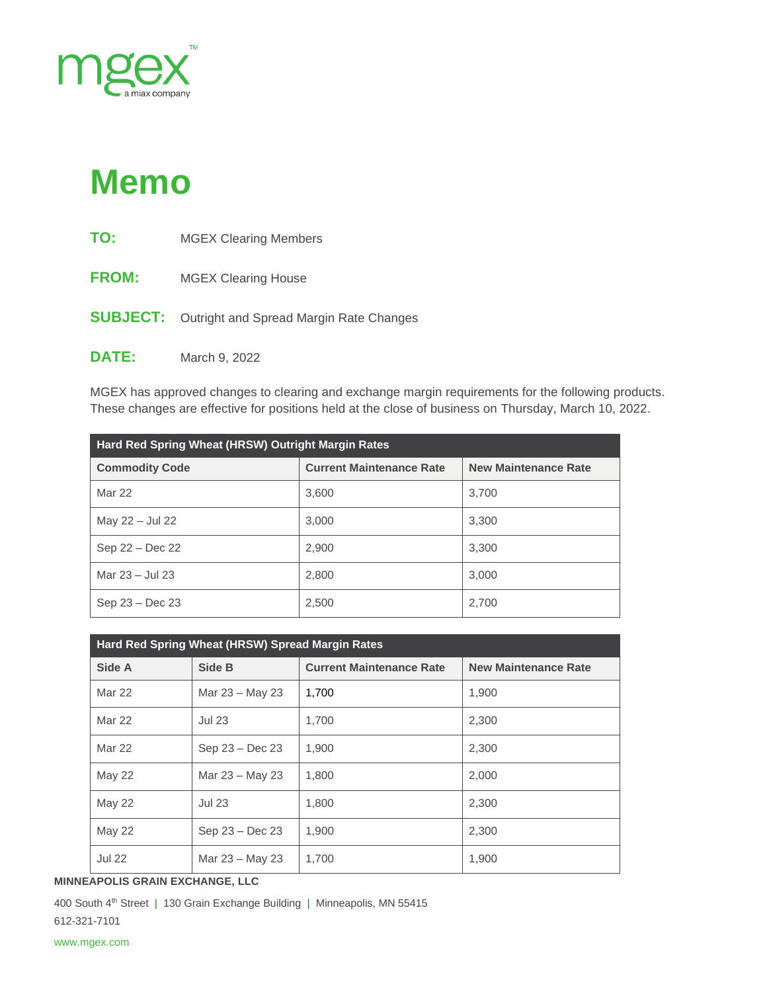

## **Memo**

| TO:             | <b>MGEX Clearing Members</b>            |
|-----------------|-----------------------------------------|
| <b>FROM:</b>    | <b>MGEX Clearing House</b>              |
| <b>SUBJECT:</b> | Outright and Spread Margin Rate Changes |
| <b>DATE:</b>    | March 9, 2022                           |

MGEX has approved changes to clearing and exchange margin requirements for the following products. These changes are effective for positions held at the close of business on Thursday, March 10, 2022.

| Hard Red Spring Wheat (HRSW) Outright Margin Rates |                                 |                             |  |  |  |
|----------------------------------------------------|---------------------------------|-----------------------------|--|--|--|
| <b>Commodity Code</b>                              | <b>Current Maintenance Rate</b> | <b>New Maintenance Rate</b> |  |  |  |
| Mar 22                                             | 3.600                           | 3.700                       |  |  |  |
| May 22 - Jul 22                                    | 3,000                           | 3.300                       |  |  |  |
| Sep 22 – Dec 22                                    | 2,900                           | 3,300                       |  |  |  |
| Mar 23 - Jul 23                                    | 2,800                           | 3.000                       |  |  |  |
| $Sep 23 - Dec 23$                                  | 2,500                           | 2,700                       |  |  |  |

| Hard Red Spring Wheat (HRSW) Spread Margin Rates |                 |                                 |                             |  |  |  |
|--------------------------------------------------|-----------------|---------------------------------|-----------------------------|--|--|--|
| Side A                                           | Side B          | <b>Current Maintenance Rate</b> | <b>New Maintenance Rate</b> |  |  |  |
| Mar 22                                           | Mar 23 – May 23 | 1,700                           | 1,900                       |  |  |  |
| Mar 22                                           | <b>Jul 23</b>   | 1,700                           | 2,300                       |  |  |  |
| Mar 22                                           | Sep 23 - Dec 23 | 1.900                           | 2.300                       |  |  |  |
| <b>May 22</b>                                    | Mar 23 - May 23 | 1,800                           | 2,000                       |  |  |  |
| <b>May 22</b>                                    | <b>Jul 23</b>   | 1,800                           | 2,300                       |  |  |  |
| <b>May 22</b>                                    | Sep 23 - Dec 23 | 1.900                           | 2,300                       |  |  |  |
| <b>Jul 22</b>                                    | Mar 23 – May 23 | 1,700                           | 1.900                       |  |  |  |

**MINNEAPOLIS GRAIN EXCHANGE, LLC**

400 South 4<sup>th</sup> Street | 130 Grain Exchange Building | Minneapolis, MN 55415 612-321-7101